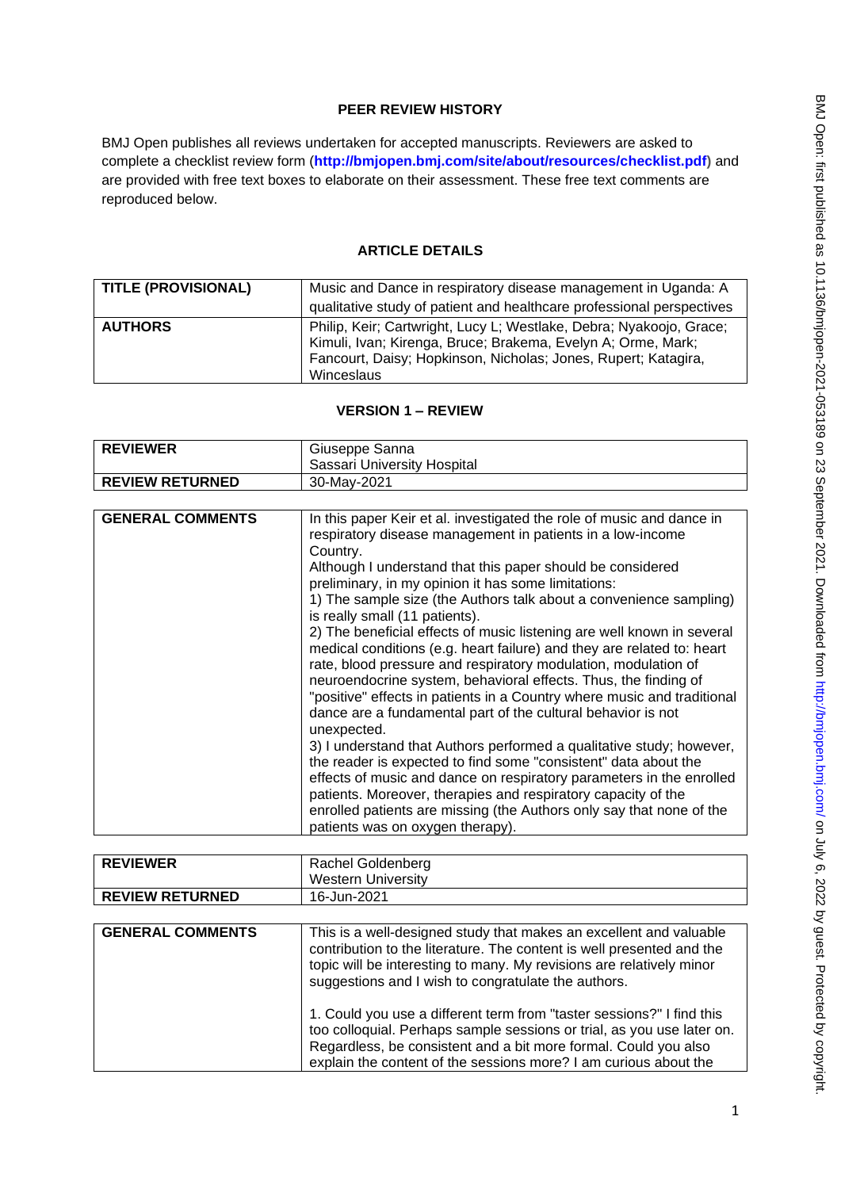## **PEER REVIEW HISTORY**

BMJ Open publishes all reviews undertaken for accepted manuscripts. Reviewers are asked to complete a checklist review form (**[http://bmjopen.bmj.com/site/about/resources/checklist.pdf\)](http://bmjopen.bmj.com/site/about/resources/checklist.pdf)** and are provided with free text boxes to elaborate on their assessment. These free text comments are reproduced below.

## **ARTICLE DETAILS**

| <b>TITLE (PROVISIONAL)</b> | Music and Dance in respiratory disease management in Uganda: A                                                                                                                                                      |
|----------------------------|---------------------------------------------------------------------------------------------------------------------------------------------------------------------------------------------------------------------|
|                            | qualitative study of patient and healthcare professional perspectives                                                                                                                                               |
| <b>AUTHORS</b>             | Philip, Keir; Cartwright, Lucy L; Westlake, Debra; Nyakoojo, Grace;<br>Kimuli, Ivan; Kirenga, Bruce; Brakema, Evelyn A; Orme, Mark;<br>Fancourt, Daisy; Hopkinson, Nicholas; Jones, Rupert; Katagira,<br>Winceslaus |

# **VERSION 1 – REVIEW**

| <b>REVIEWER</b>        | Giuseppe Sanna              |
|------------------------|-----------------------------|
|                        | Sassari University Hospital |
| <b>REVIEW RETURNED</b> | 30-May-2021                 |

| <b>GENERAL COMMENTS</b> | In this paper Keir et al. investigated the role of music and dance in<br>respiratory disease management in patients in a low-income                                                                          |
|-------------------------|--------------------------------------------------------------------------------------------------------------------------------------------------------------------------------------------------------------|
|                         | Country.                                                                                                                                                                                                     |
|                         | Although I understand that this paper should be considered<br>preliminary, in my opinion it has some limitations:                                                                                            |
|                         | 1) The sample size (the Authors talk about a convenience sampling)<br>is really small (11 patients).                                                                                                         |
|                         | 2) The beneficial effects of music listening are well known in several<br>medical conditions (e.g. heart failure) and they are related to: heart                                                             |
|                         | rate, blood pressure and respiratory modulation, modulation of<br>neuroendocrine system, behavioral effects. Thus, the finding of<br>"positive" effects in patients in a Country where music and traditional |
|                         | dance are a fundamental part of the cultural behavior is not<br>unexpected.                                                                                                                                  |
|                         | 3) I understand that Authors performed a qualitative study; however,                                                                                                                                         |
|                         | the reader is expected to find some "consistent" data about the                                                                                                                                              |
|                         | effects of music and dance on respiratory parameters in the enrolled                                                                                                                                         |
|                         | patients. Moreover, therapies and respiratory capacity of the<br>enrolled patients are missing (the Authors only say that none of the                                                                        |
|                         | patients was on oxygen therapy).                                                                                                                                                                             |

| <b>REVIEWER</b>         | Rachel Goldenberg                                                                                                                                                                                                                                                                      |
|-------------------------|----------------------------------------------------------------------------------------------------------------------------------------------------------------------------------------------------------------------------------------------------------------------------------------|
|                         | <b>Western University</b>                                                                                                                                                                                                                                                              |
| <b>REVIEW RETURNED</b>  | 16-Jun-2021                                                                                                                                                                                                                                                                            |
|                         |                                                                                                                                                                                                                                                                                        |
| <b>GENERAL COMMENTS</b> | This is a well-designed study that makes an excellent and valuable<br>contribution to the literature. The content is well presented and the<br>topic will be interesting to many. My revisions are relatively minor<br>suggestions and I wish to congratulate the authors.             |
|                         | 1. Could you use a different term from "taster sessions?" I find this<br>too colloquial. Perhaps sample sessions or trial, as you use later on.<br>Regardless, be consistent and a bit more formal. Could you also<br>explain the content of the sessions more? I am curious about the |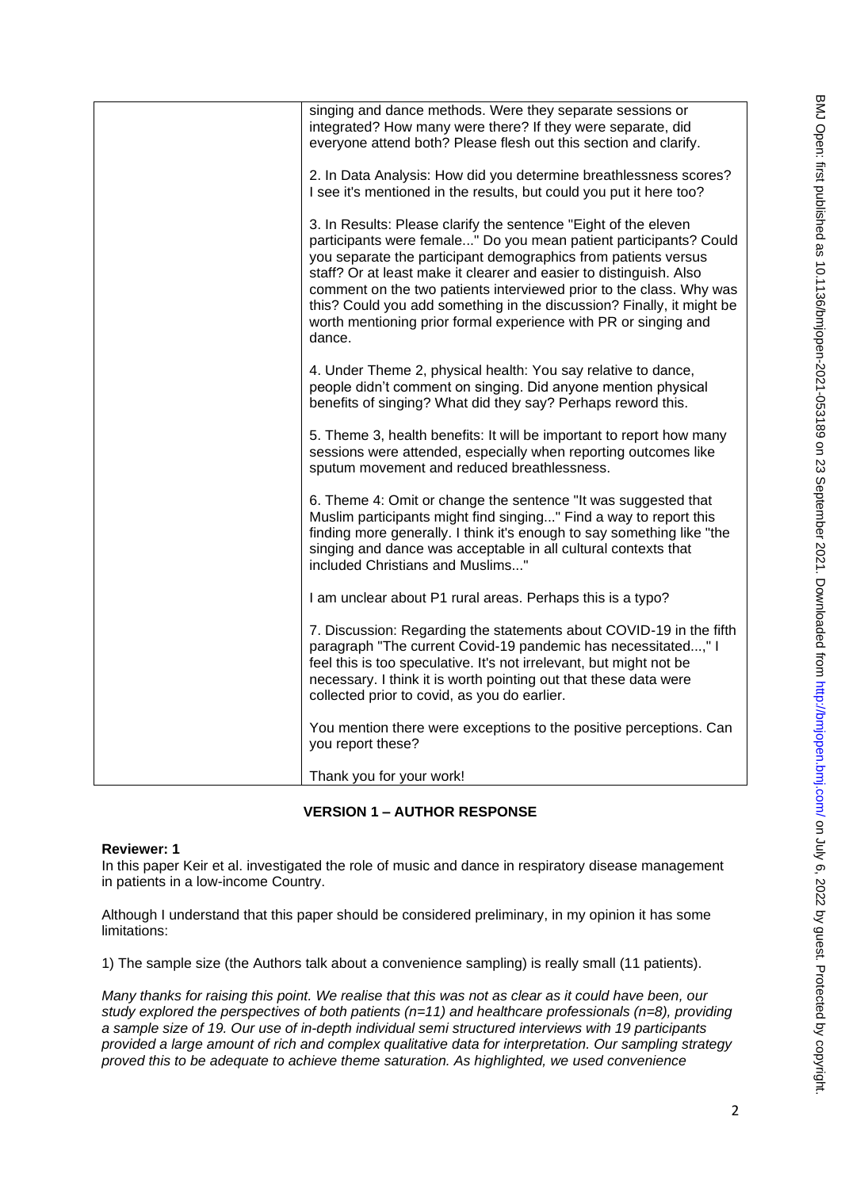| singing and dance methods. Were they separate sessions or<br>integrated? How many were there? If they were separate, did<br>everyone attend both? Please flesh out this section and clarify.                                                                                                                                                                                                                                                                                                              |
|-----------------------------------------------------------------------------------------------------------------------------------------------------------------------------------------------------------------------------------------------------------------------------------------------------------------------------------------------------------------------------------------------------------------------------------------------------------------------------------------------------------|
| 2. In Data Analysis: How did you determine breathlessness scores?<br>I see it's mentioned in the results, but could you put it here too?                                                                                                                                                                                                                                                                                                                                                                  |
| 3. In Results: Please clarify the sentence "Eight of the eleven<br>participants were female" Do you mean patient participants? Could<br>you separate the participant demographics from patients versus<br>staff? Or at least make it clearer and easier to distinguish. Also<br>comment on the two patients interviewed prior to the class. Why was<br>this? Could you add something in the discussion? Finally, it might be<br>worth mentioning prior formal experience with PR or singing and<br>dance. |
| 4. Under Theme 2, physical health: You say relative to dance,<br>people didn't comment on singing. Did anyone mention physical<br>benefits of singing? What did they say? Perhaps reword this.                                                                                                                                                                                                                                                                                                            |
| 5. Theme 3, health benefits: It will be important to report how many<br>sessions were attended, especially when reporting outcomes like<br>sputum movement and reduced breathlessness.                                                                                                                                                                                                                                                                                                                    |
| 6. Theme 4: Omit or change the sentence "It was suggested that<br>Muslim participants might find singing" Find a way to report this<br>finding more generally. I think it's enough to say something like "the<br>singing and dance was acceptable in all cultural contexts that<br>included Christians and Muslims"                                                                                                                                                                                       |
| I am unclear about P1 rural areas. Perhaps this is a typo?                                                                                                                                                                                                                                                                                                                                                                                                                                                |
| 7. Discussion: Regarding the statements about COVID-19 in the fifth<br>paragraph "The current Covid-19 pandemic has necessitated," I<br>feel this is too speculative. It's not irrelevant, but might not be<br>necessary. I think it is worth pointing out that these data were<br>collected prior to covid, as you do earlier.                                                                                                                                                                           |
| You mention there were exceptions to the positive perceptions. Can<br>you report these?                                                                                                                                                                                                                                                                                                                                                                                                                   |
| Thank you for your work!                                                                                                                                                                                                                                                                                                                                                                                                                                                                                  |

**VERSION 1 – AUTHOR RESPONSE**

### **Reviewer: 1**

In this paper Keir et al. investigated the role of music and dance in respiratory disease management in patients in a low-income Country.

Although I understand that this paper should be considered preliminary, in my opinion it has some limitations:

1) The sample size (the Authors talk about a convenience sampling) is really small (11 patients).

*Many thanks for raising this point. We realise that this was not as clear as it could have been, our study explored the perspectives of both patients (n=11) and healthcare professionals (n=8), providing a sample size of 19. Our use of in-depth individual semi structured interviews with 19 participants provided a large amount of rich and complex qualitative data for interpretation. Our sampling strategy proved this to be adequate to achieve theme saturation. As highlighted, we used convenience*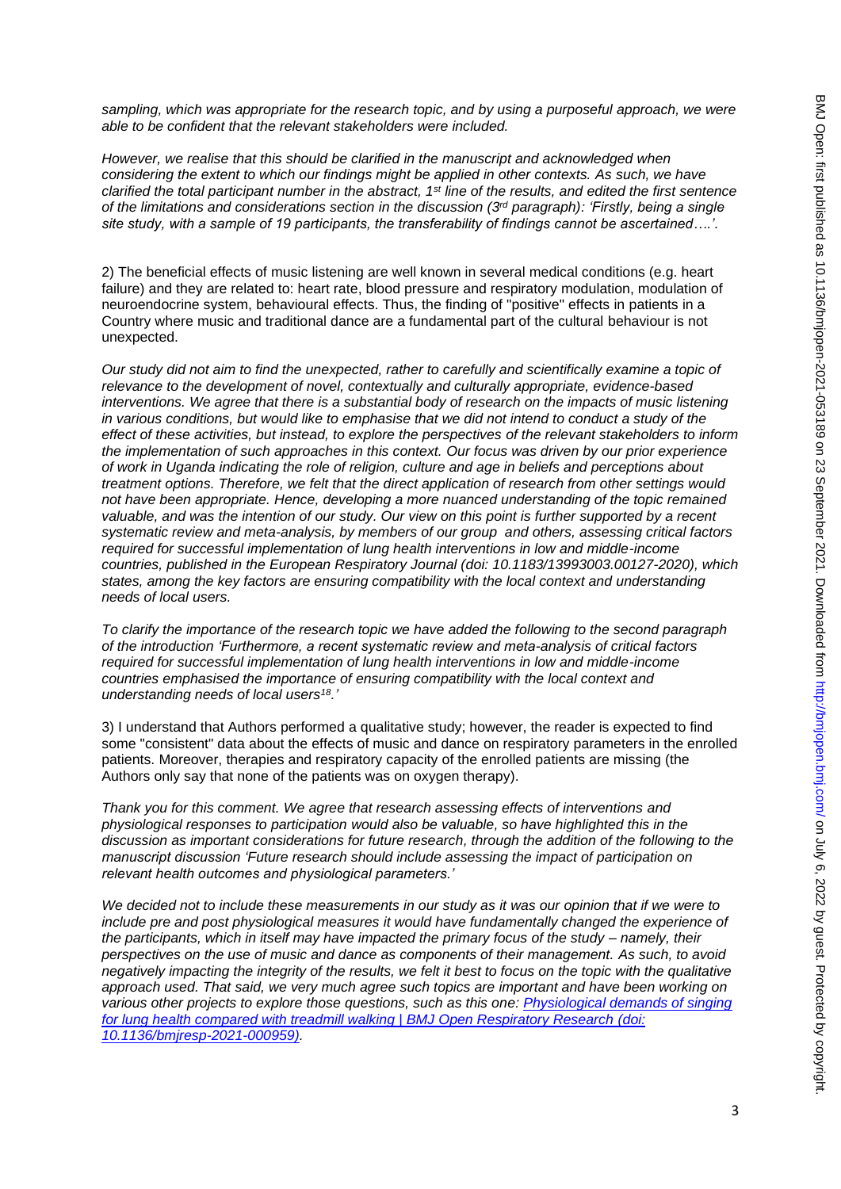*sampling, which was appropriate for the research topic, and by using a purposeful approach, we were able to be confident that the relevant stakeholders were included.* 

*However, we realise that this should be clarified in the manuscript and acknowledged when considering the extent to which our findings might be applied in other contexts. As such, we have clarified the total participant number in the abstract, 1st line of the results, and edited the first sentence of the limitations and considerations section in the discussion (3rd paragraph): 'Firstly, being a single site study, with a sample of 19 participants, the transferability of findings cannot be ascertained….'.*

2) The beneficial effects of music listening are well known in several medical conditions (e.g. heart failure) and they are related to: heart rate, blood pressure and respiratory modulation, modulation of neuroendocrine system, behavioural effects. Thus, the finding of "positive" effects in patients in a Country where music and traditional dance are a fundamental part of the cultural behaviour is not unexpected.

*Our study did not aim to find the unexpected, rather to carefully and scientifically examine a topic of relevance to the development of novel, contextually and culturally appropriate, evidence-based interventions. We agree that there is a substantial body of research on the impacts of music listening in various conditions, but would like to emphasise that we did not intend to conduct a study of the effect of these activities, but instead, to explore the perspectives of the relevant stakeholders to inform the implementation of such approaches in this context. Our focus was driven by our prior experience of work in Uganda indicating the role of religion, culture and age in beliefs and perceptions about treatment options. Therefore, we felt that the direct application of research from other settings would not have been appropriate. Hence, developing a more nuanced understanding of the topic remained valuable, and was the intention of our study. Our view on this point is further supported by a recent systematic review and meta-analysis, by members of our group and others, assessing critical factors required for successful implementation of lung health interventions in low and middle-income countries, published in the European Respiratory Journal (doi: 10.1183/13993003.00127-2020), which states, among the key factors are ensuring compatibility with the local context and understanding needs of local users.*

*To clarify the importance of the research topic we have added the following to the second paragraph of the introduction 'Furthermore, a recent systematic review and meta-analysis of critical factors required for successful implementation of lung health interventions in low and middle-income countries emphasised the importance of ensuring compatibility with the local context and understanding needs of local users<sup>18</sup>.'*

3) I understand that Authors performed a qualitative study; however, the reader is expected to find some "consistent" data about the effects of music and dance on respiratory parameters in the enrolled patients. Moreover, therapies and respiratory capacity of the enrolled patients are missing (the Authors only say that none of the patients was on oxygen therapy).

*Thank you for this comment. We agree that research assessing effects of interventions and physiological responses to participation would also be valuable, so have highlighted this in the discussion as important considerations for future research, through the addition of the following to the manuscript discussion 'Future research should include assessing the impact of participation on relevant health outcomes and physiological parameters.'*

*We decided not to include these measurements in our study as it was our opinion that if we were to include pre and post physiological measures it would have fundamentally changed the experience of the participants, which in itself may have impacted the primary focus of the study – namely, their perspectives on the use of music and dance as components of their management. As such, to avoid negatively impacting the integrity of the results, we felt it best to focus on the topic with the qualitative approach used. That said, we very much agree such topics are important and have been working on various other projects to explore those questions, such as this one: [Physiological demands of singing](https://bmjopenrespres.bmj.com/content/8/1/e000959.long)  [for lung health compared with treadmill walking | BMJ Open Respiratory Research](https://bmjopenrespres.bmj.com/content/8/1/e000959.long) (doi: 10.1136/bmjresp-2021-000959).*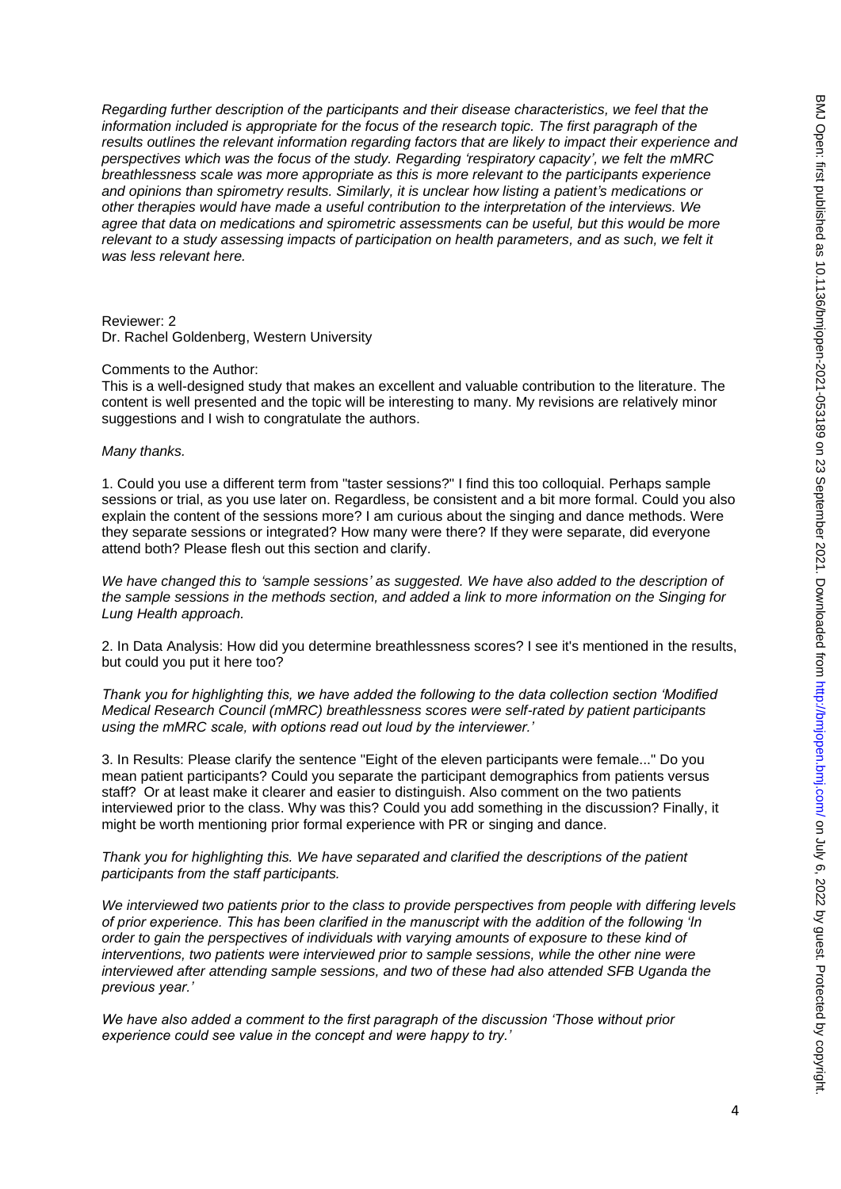*Regarding further description of the participants and their disease characteristics, we feel that the information included is appropriate for the focus of the research topic. The first paragraph of the results outlines the relevant information regarding factors that are likely to impact their experience and perspectives which was the focus of the study. Regarding 'respiratory capacity', we felt the mMRC breathlessness scale was more appropriate as this is more relevant to the participants experience and opinions than spirometry results. Similarly, it is unclear how listing a patient's medications or other therapies would have made a useful contribution to the interpretation of the interviews. We agree that data on medications and spirometric assessments can be useful, but this would be more relevant to a study assessing impacts of participation on health parameters, and as such, we felt it was less relevant here.* 

Reviewer: 2 Dr. Rachel Goldenberg, Western University

#### Comments to the Author:

This is a well-designed study that makes an excellent and valuable contribution to the literature. The content is well presented and the topic will be interesting to many. My revisions are relatively minor suggestions and I wish to congratulate the authors.

#### *Many thanks.*

1. Could you use a different term from "taster sessions?" I find this too colloquial. Perhaps sample sessions or trial, as you use later on. Regardless, be consistent and a bit more formal. Could you also explain the content of the sessions more? I am curious about the singing and dance methods. Were they separate sessions or integrated? How many were there? If they were separate, did everyone attend both? Please flesh out this section and clarify.

*We have changed this to 'sample sessions' as suggested. We have also added to the description of the sample sessions in the methods section, and added a link to more information on the Singing for Lung Health approach.* 

2. In Data Analysis: How did you determine breathlessness scores? I see it's mentioned in the results, but could you put it here too?

*Thank you for highlighting this, we have added the following to the data collection section 'Modified Medical Research Council (mMRC) breathlessness scores were self-rated by patient participants using the mMRC scale, with options read out loud by the interviewer.'*

3. In Results: Please clarify the sentence "Eight of the eleven participants were female..." Do you mean patient participants? Could you separate the participant demographics from patients versus staff? Or at least make it clearer and easier to distinguish. Also comment on the two patients interviewed prior to the class. Why was this? Could you add something in the discussion? Finally, it might be worth mentioning prior formal experience with PR or singing and dance.

### *Thank you for highlighting this. We have separated and clarified the descriptions of the patient participants from the staff participants.*

*We interviewed two patients prior to the class to provide perspectives from people with differing levels of prior experience. This has been clarified in the manuscript with the addition of the following 'In order to gain the perspectives of individuals with varying amounts of exposure to these kind of interventions, two patients were interviewed prior to sample sessions, while the other nine were interviewed after attending sample sessions, and two of these had also attended SFB Uganda the previous year.'*

*We have also added a comment to the first paragraph of the discussion 'Those without prior experience could see value in the concept and were happy to try.'*